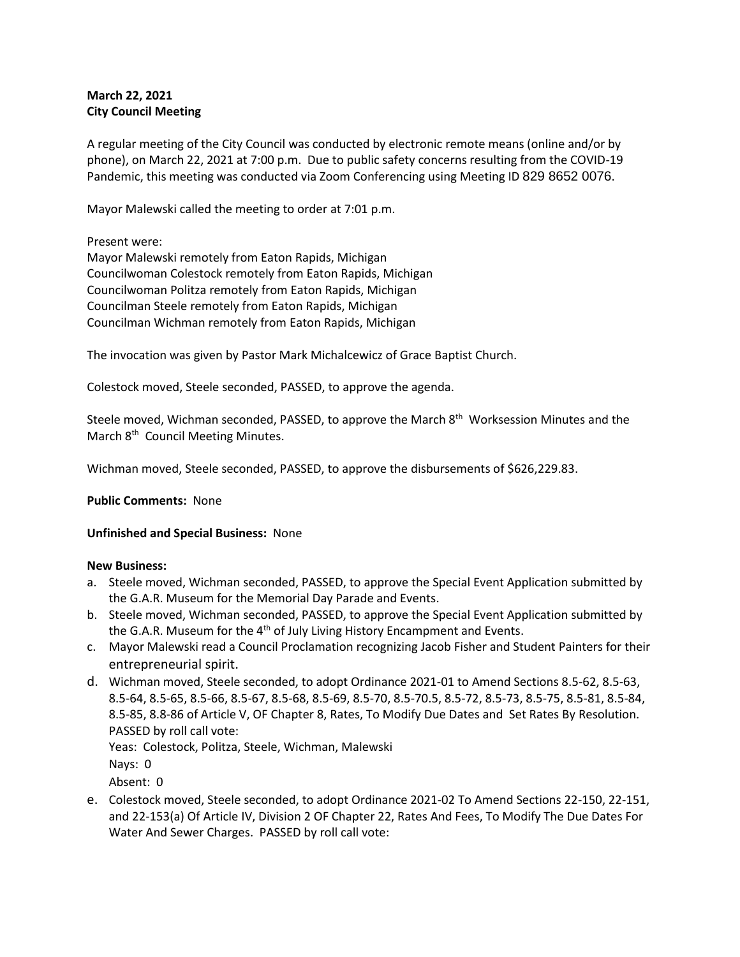# **March 22, 2021 City Council Meeting**

A regular meeting of the City Council was conducted by electronic remote means (online and/or by phone), on March 22, 2021 at 7:00 p.m. Due to public safety concerns resulting from the COVID-19 Pandemic, this meeting was conducted via Zoom Conferencing using Meeting ID 829 8652 0076.

Mayor Malewski called the meeting to order at 7:01 p.m.

Present were:

Mayor Malewski remotely from Eaton Rapids, Michigan Councilwoman Colestock remotely from Eaton Rapids, Michigan Councilwoman Politza remotely from Eaton Rapids, Michigan Councilman Steele remotely from Eaton Rapids, Michigan Councilman Wichman remotely from Eaton Rapids, Michigan

The invocation was given by Pastor Mark Michalcewicz of Grace Baptist Church.

Colestock moved, Steele seconded, PASSED, to approve the agenda.

Steele moved, Wichman seconded, PASSED, to approve the March 8<sup>th</sup> Worksession Minutes and the March 8<sup>th</sup> Council Meeting Minutes.

Wichman moved, Steele seconded, PASSED, to approve the disbursements of \$626,229.83.

## **Public Comments:** None

## **Unfinished and Special Business:** None

## **New Business:**

- a. Steele moved, Wichman seconded, PASSED, to approve the Special Event Application submitted by the G.A.R. Museum for the Memorial Day Parade and Events.
- b. Steele moved, Wichman seconded, PASSED, to approve the Special Event Application submitted by the G.A.R. Museum for the 4<sup>th</sup> of July Living History Encampment and Events.
- c. Mayor Malewski read a Council Proclamation recognizing Jacob Fisher and Student Painters for their entrepreneurial spirit.
- d. Wichman moved, Steele seconded, to adopt Ordinance 2021-01 to Amend Sections 8.5-62, 8.5-63, 8.5-64, 8.5-65, 8.5-66, 8.5-67, 8.5-68, 8.5-69, 8.5-70, 8.5-70.5, 8.5-72, 8.5-73, 8.5-75, 8.5-81, 8.5-84, 8.5-85, 8.8-86 of Article V, OF Chapter 8, Rates, To Modify Due Dates and Set Rates By Resolution. PASSED by roll call vote:

Yeas: Colestock, Politza, Steele, Wichman, Malewski

Nays: 0

Absent: 0

e. Colestock moved, Steele seconded, to adopt Ordinance 2021-02 To Amend Sections 22-150, 22-151, and 22-153(a) Of Article IV, Division 2 OF Chapter 22, Rates And Fees, To Modify The Due Dates For Water And Sewer Charges. PASSED by roll call vote: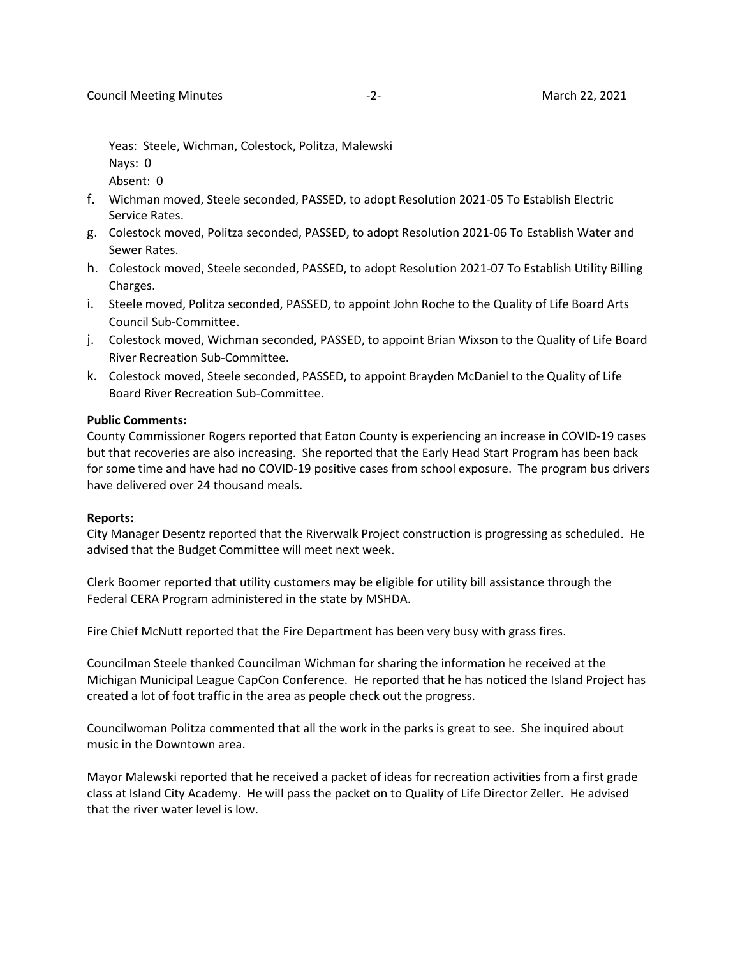Yeas: Steele, Wichman, Colestock, Politza, Malewski Nays: 0 Absent: 0

- f. Wichman moved, Steele seconded, PASSED, to adopt Resolution 2021-05 To Establish Electric Service Rates.
- g. Colestock moved, Politza seconded, PASSED, to adopt Resolution 2021-06 To Establish Water and Sewer Rates.
- h. Colestock moved, Steele seconded, PASSED, to adopt Resolution 2021-07 To Establish Utility Billing Charges.
- i. Steele moved, Politza seconded, PASSED, to appoint John Roche to the Quality of Life Board Arts Council Sub-Committee.
- j. Colestock moved, Wichman seconded, PASSED, to appoint Brian Wixson to the Quality of Life Board River Recreation Sub-Committee.
- k. Colestock moved, Steele seconded, PASSED, to appoint Brayden McDaniel to the Quality of Life Board River Recreation Sub-Committee.

### **Public Comments:**

County Commissioner Rogers reported that Eaton County is experiencing an increase in COVID-19 cases but that recoveries are also increasing. She reported that the Early Head Start Program has been back for some time and have had no COVID-19 positive cases from school exposure. The program bus drivers have delivered over 24 thousand meals.

## **Reports:**

City Manager Desentz reported that the Riverwalk Project construction is progressing as scheduled. He advised that the Budget Committee will meet next week.

Clerk Boomer reported that utility customers may be eligible for utility bill assistance through the Federal CERA Program administered in the state by MSHDA.

Fire Chief McNutt reported that the Fire Department has been very busy with grass fires.

Councilman Steele thanked Councilman Wichman for sharing the information he received at the Michigan Municipal League CapCon Conference. He reported that he has noticed the Island Project has created a lot of foot traffic in the area as people check out the progress.

Councilwoman Politza commented that all the work in the parks is great to see. She inquired about music in the Downtown area.

Mayor Malewski reported that he received a packet of ideas for recreation activities from a first grade class at Island City Academy. He will pass the packet on to Quality of Life Director Zeller. He advised that the river water level is low.